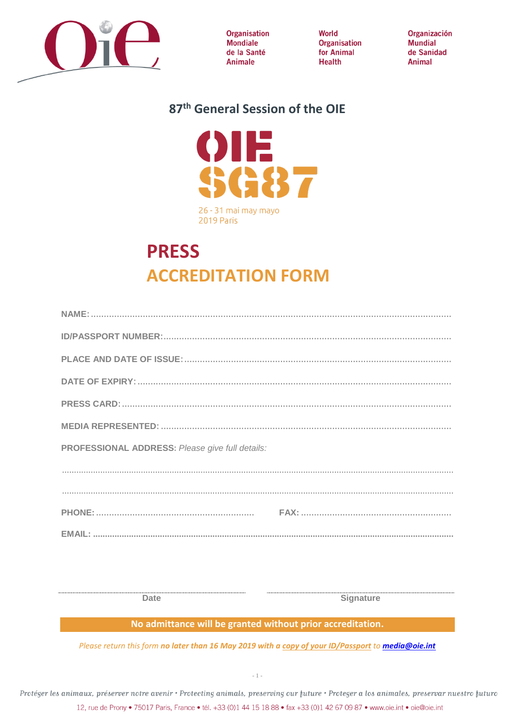

**Organisation** Mondiale de la Santé Animale

World Organisation for Animal **Health** 

Organización **Mundial** de Sanidad Animal

### 87<sup>th</sup> General Session of the OIE



# **PRESS ACCREDITATION FORM**

| PROFESSIONAL ADDRESS: Please give full details: |
|-------------------------------------------------|
|                                                 |
|                                                 |
|                                                 |
|                                                 |

**Date** 

**Signature** 

#### No admittance will be granted without prior accreditation.

Please return this form no later than 16 May 2019 with a copy of your ID/Passport to media@oie.int

Protéger les animaux, préserver notre avenir · Protecting animals, preserving our future · Proteger a los animales, preservar nuestro futuro 12, rue de Prony · 75017 Paris, France · tél. +33 (0)1 44 15 18 88 · fax +33 (0)1 42 67 09 87 · www.oie.int · oie@oie.int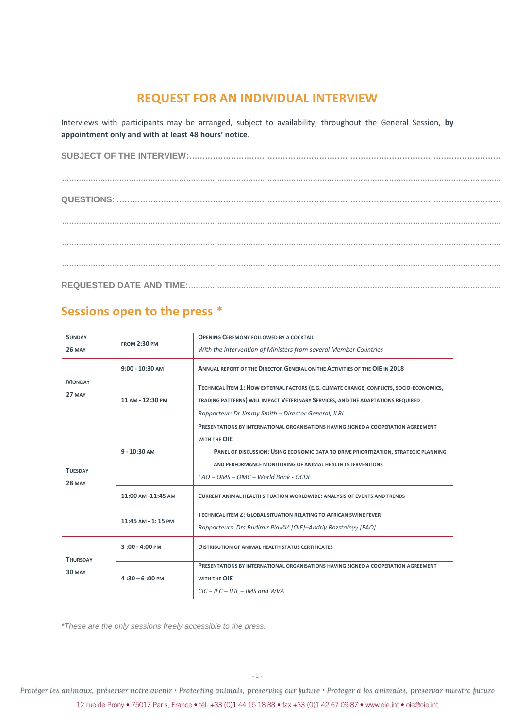#### **REQUEST FOR AN INDIVIDUAL INTERVIEW**

Interviews with participants may be arranged, subject to availability, throughout the General Session, **by appointment only and with at least 48 hours' notice**.

## **Sessions open to the press \***

| <b>SUNDAY</b>                    | <b>FROM 2:30 PM</b>      | <b>OPENING CEREMONY FOLLOWED BY A COCKTAIL</b>                                                                                                                                                                                                                                                                  |
|----------------------------------|--------------------------|-----------------------------------------------------------------------------------------------------------------------------------------------------------------------------------------------------------------------------------------------------------------------------------------------------------------|
| <b>26 MAY</b>                    |                          | With the intervention of Ministers from several Member Countries                                                                                                                                                                                                                                                |
| <b>MONDAY</b><br><b>27 MAY</b>   | $9:00 - 10:30$ AM        | ANNUAL REPORT OF THE DIRECTOR GENERAL ON THE ACTIVITIES OF THE OIE IN 2018                                                                                                                                                                                                                                      |
|                                  | 11 AM - 12:30 PM         | TECHNICAL ITEM 1: HOW EXTERNAL FACTORS (E.G. CLIMATE CHANGE, CONFLICTS, SOCIO-ECONOMICS,<br>TRADING PATTERNS) WILL IMPACT VETERINARY SERVICES, AND THE ADAPTATIONS REQUIRED<br>Rapporteur: Dr Jimmy Smith - Director General, ILRI                                                                              |
| <b>TUESDAY</b><br><b>28 MAY</b>  | $9 - 10:30$ AM           | <b>PRESENTATIONS BY INTERNATIONAL ORGANISATIONS HAVING SIGNED A COOPERATION AGREEMENT</b><br>WITH THE OIE<br>PANEL OF DISCUSSION: USING ECONOMIC DATA TO DRIVE PRIORITIZATION, STRATEGIC PLANNING<br>$\sim$<br>AND PERFORMANCE MONITORING OF ANIMAL HEALTH INTERVENTIONS<br>FAO - OMS - OMC - World Bank - OCDE |
|                                  | 11:00 AM -11:45 AM       | <b>CURRENT ANIMAL HEALTH SITUATION WORLDWIDE: ANALYSIS OF EVENTS AND TRENDS</b>                                                                                                                                                                                                                                 |
|                                  | 11:45 AM - 1:15 PM       | TECHNICAL ITEM 2: GLOBAL SITUATION RELATING TO AFRICAN SWINE FEVER<br>Rapporteurs: Drs Budimir Plavšić [OIE]–Andriy Rozstalnyy [FAO]                                                                                                                                                                            |
| <b>THURSDAY</b><br><b>30 MAY</b> | $3:00 - 4:00 PM$         | <b>DISTRIBUTION OF ANIMAL HEALTH STATUS CERTIFICATES</b>                                                                                                                                                                                                                                                        |
|                                  | $4:30 - 6:00 \text{ PM}$ | <b>PRESENTATIONS BY INTERNATIONAL ORGANISATIONS HAVING SIGNED A COOPERATION AGREEMENT</b><br>WITH THE OIE<br>$CIC - IEC - IFIF - IMS$ and WVA                                                                                                                                                                   |

*\*These are the only sessions freely accessible to the press.*

Protéger les animaux, préserver notre avenir • Protecting animals, preserving our future • Proteger a los animales, preservar nuestro futuro 12 rue de Prony • 75017 Paris, France • tél. +33 (0)1 44 15 18 88 • fax +33 (0)1 42 67 09 87 • www.oie.int • oie@oie.int